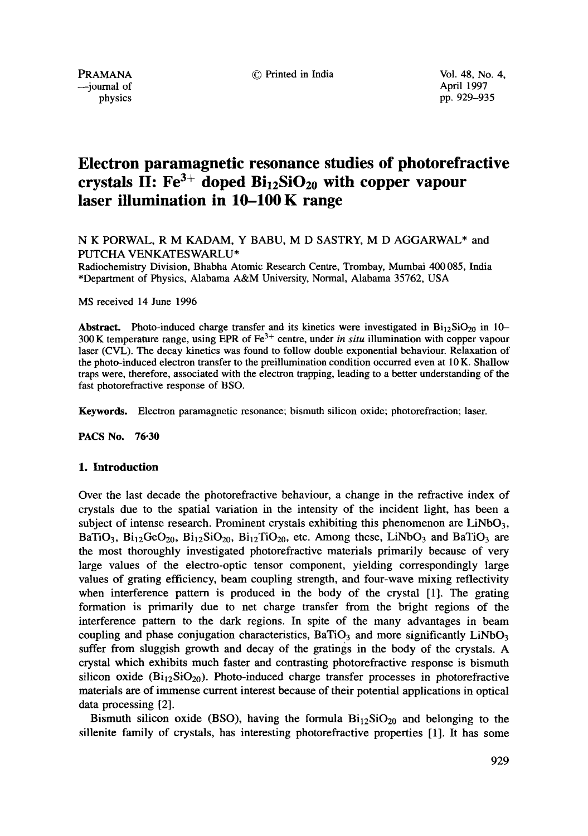$\rightarrow$ iournal of April 1997

physics pp. 929-935

# **Electron paramagnetic resonance studies of photorefractive**  crystals II:  $Fe^{3+}$  doped  $Bi_{12}SiO_{20}$  with copper vapour **laser illumination in 10-100 K range**

N K PORWAL, R M KADAM, Y BABU, M D SASTRY, M D AGGARWAL\* and PUTCHA VENKATESWARLU\*

Radiochemistry Division, Bhabha Atomic Research Centre, Trombay, Mumbai 400 085, India \*Department of Physics, Alabama A&M University, Normal, Alabama 35762, USA

MS received 14 June 1996

**Abstract.** Photo-induced charge transfer and its kinetics were investigated in  $\text{Bi}_{12}\text{SiO}_{20}$  in 10-300 K temperature range, using EPR of Fe 3+ centre, under *in situ* illumination with copper vapour laser (CVL). The decay kinetics was found to follow double exponential behaviour. Relaxation of the photo-induced electron transfer to the preillumination condition occurred even at l0 K. Shallow traps were, therefore, associated with the electron trapping, leading to a better understanding of the fast photorefractive response of BSO.

**Keywords.** Electron paramagnetic resonance; bismuth silicon oxide; photorefraction; laser.

**PACS No.** 76-30

### **1. Introduction**

Over the last decade the photorefractive behaviour, a change in the refractive index of crystals due to the spatial variation in the intensity of the incident light, has been a subject of intense research. Prominent crystals exhibiting this phenomenon are  $LiNbO<sub>3</sub>$ , BaTiO<sub>3</sub>, Bi<sub>12</sub>GeO<sub>20</sub>, Bi<sub>12</sub>SiO<sub>20</sub>, Bi<sub>12</sub>TiO<sub>20</sub>, etc. Among these, LiNbO<sub>3</sub> and BaTiO<sub>3</sub> are the most thoroughly investigated photorefractive materials primarily because of very large values of the electro-optic tensor component, yielding correspondingly large values of grating efficiency, beam coupling strength, and four-wave mixing reflectivity when interference pattern is produced in the body of the crystal [1]. The grating formation is primarily due to net charge transfer from the bright regions of the interference pattern to the dark regions. In spite of the many advantages in beam coupling and phase conjugation characteristics,  $BaTiO<sub>3</sub>$  and more significantly LiNbO<sub>3</sub> suffer from sluggish growth and decay of the gratings in the body of the crystals. A crystal which exhibits much faster and contrasting photorefractive response is bismuth silicon oxide  $(Bi_{12}SiO_{20})$ . Photo-induced charge transfer processes in photorefractive materials are of immense current interest because of their potential applications in optical data processing [2].

Bismuth silicon oxide (BSO), having the formula  $Bi_{12}SiO_{20}$  and belonging to the sillenite family of crystals, has interesting photorefractive properties [1]. It has some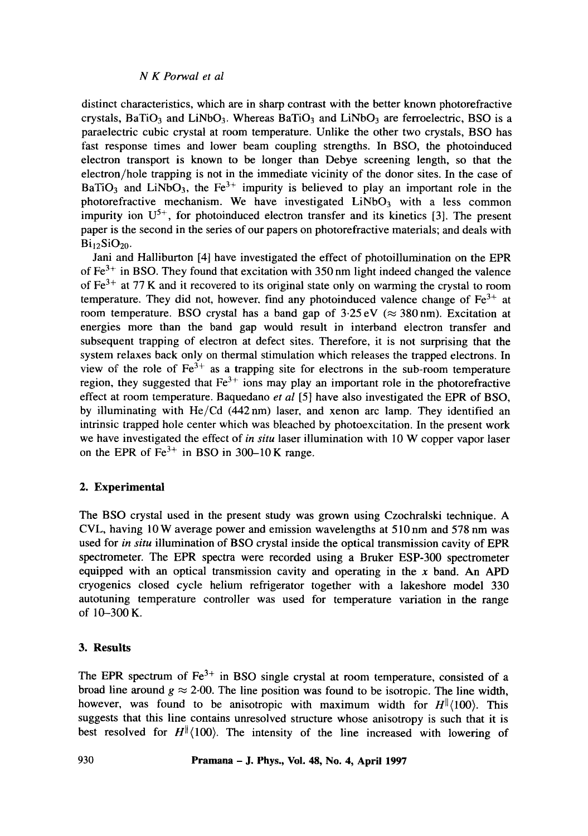## *N K Porwal et al*

distinct characteristics, which are in sharp contrast with the better known photorefractive crystals, BaTiO<sub>3</sub> and LiNbO<sub>3</sub>. Whereas BaTiO<sub>3</sub> and LiNbO<sub>3</sub> are ferroelectric, BSO is a paraelectric cubic crystal at room temperature. Unlike the other two crystals, BSO has fast response times and lower beam coupling strengths. In BSO, the photoinduced electron transport is known to be longer than Debye screening length, so that the electron/hole trapping is not in the immediate vicinity of the donor sites. In the case of BaTiO<sub>3</sub> and LiNbO<sub>3</sub>, the Fe<sup>3+</sup> impurity is believed to play an important role in the photorefractive mechanism. We have investigated  $LiNbO<sub>3</sub>$  with a less common impurity ion  $U^{5+}$ , for photoinduced electron transfer and its kinetics [3]. The present paper is the second in the series of our papers on photorefractive materials; and deals with  $\text{Bi}_2$ SiO<sub>20</sub>.

Jani and Halliburton [4] have investigated the effect of photoillumination on the EPR of  $Fe<sup>3+</sup>$  in BSO. They found that excitation with 350 nm light indeed changed the valence of  $Fe<sup>3+</sup>$  at 77 K and it recovered to its original state only on warming the crystal to room temperature. They did not, however, find any photoinduced valence change of  $Fe<sup>3+</sup>$  at room temperature. BSO crystal has a band gap of  $3.25 \text{ eV} \approx 380 \text{ nm}$ ). Excitation at energies more than the band gap would result in interband electron transfer and subsequent trapping of electron at defect sites. Therefore, it is not surprising that the system relaxes back only on thermal stimulation which releases the trapped electrons. In view of the role of  $Fe^{3+}$  as a trapping site for electrons in the sub-room temperature region, they suggested that  $Fe<sup>3+</sup>$  ions may play an important role in the photorefractive effect at room temperature. Baquedano *et al* [5] have also investigated the EPR of BSO, by illuminating with He/Cd (442nm) laser, and xenon arc lamp. They identified an intrinsic trapped hole center which was bleached by photoexcitation. In the present work we have investigated the effect of *in situ* laser illumination with 10 W copper vapor laser on the EPR of  $Fe<sup>3+</sup>$  in BSO in 300-10 K range.

# **2. Experimental**

The BSO crystal used in the present study was grown using Czochralski technique. A CVL, having 10W average power and emission wavelengths at 510nm and 578 nm was used for *in situ* illumination of BSO crystal inside the optical transmission cavity of EPR spectrometer. The EPR spectra were recorded using a Bruker ESP-300 spectrometer equipped with an optical transmission cavity and operating in the  $x$  band. An APD cryogenics closed cycle helium refrigerator together with a lakeshore model 330 autotuning temperature controller was used for temperature variation in the range of 10-300 K.

# **3. Results**

The EPR spectrum of  $Fe^{3+}$  in BSO single crystal at room temperature, consisted of a broad line around  $g \approx 2.00$ . The line position was found to be isotropic. The line width, however, was found to be anisotropic with maximum width for  $H^{||}(100)$ . This suggests that this line contains unresolved structure whose anisotropy is such that it is best resolved for  $H^{\parallel}(100)$ . The intensity of the line increased with lowering of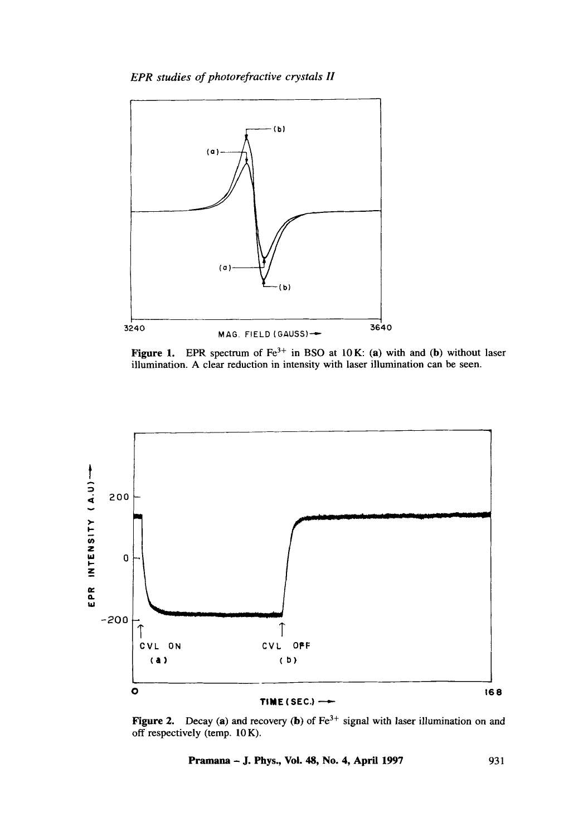*EPR studies of photorefractive crystals H* 



Figure 1. EPR spectrum of  $Fe^{3+}$  in BSO at 10 K: (a) with and (b) without laser illumination. A clear reduction in intensity with laser illumination can be seen.



Figure 2. Decay (a) and recovery (b) of  $Fe<sup>3+</sup>$  signal with laser illumination on and off respectively (temp. 10 K).

**Pramana - J. Phys., Vol. 48, No. 4, April 1997** 931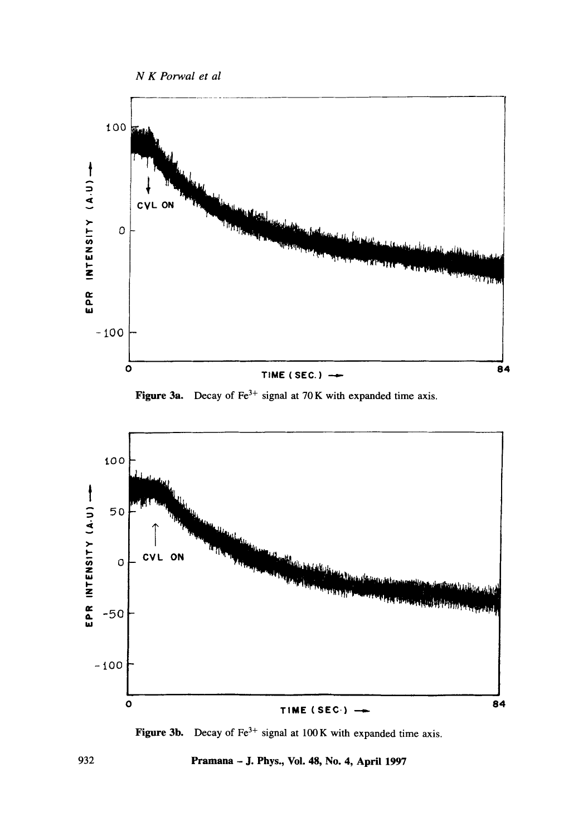









Pramana - J. Phys., Vol. 48, No. 4, April 1997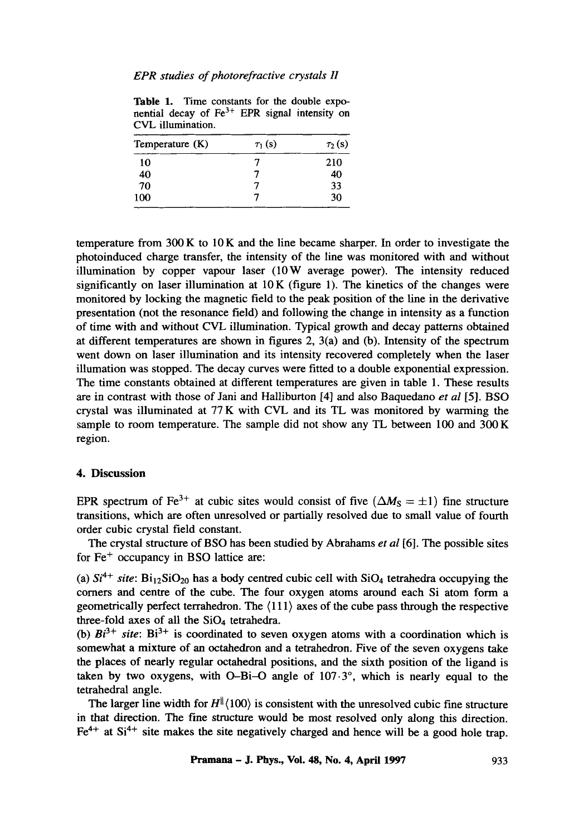#### *EPR studies of photorefractive crystals H*

**Table** 1. Time constants for the double exponential decay of  $Fe<sup>3+</sup>$  EPR signal intensity on CVL illumination.

| $\tau_1(s)$ | $\tau_2(s)$ |
|-------------|-------------|
|             | 210         |
|             | 40          |
|             | 33          |
|             | 30          |
|             |             |

temperature from  $300 \text{ K}$  to  $10 \text{ K}$  and the line became sharper. In order to investigate the photoinduced charge transfer, the intensity of the line was monitored with and without illumination by copper vapour laser (10W average power). The intensity reduced significantly on laser illumination at  $10K$  (figure 1). The kinetics of the changes were monitored by locking the magnetic field to the peak position of the line in the derivative presentation (not the resonance field) and following the change in intensity as a function of time with and without CVL illumination. Typical growth and decay patterns obtained at different temperatures are shown in figures 2, 3(a) and (b). Intensity of the spectrum went down on laser illumination and its intensity recovered completely when the laser illumation was stopped. The decay curves were fitted to a double exponential expression. The time constants obtained at different temperatures are given in table 1. These results are in contrast with those of Jani and Halliburton [4] and also Baquedano *et al* [5]. BSO crystal was illuminated at 77 K with CVL and its TL was monitored by warming the sample to room temperature. The sample did not show any TL between 100 and 300 K region.

## **4. Discussion**

EPR spectrum of Fe<sup>3+</sup> at cubic sites would consist of five ( $\Delta M_s = \pm 1$ ) fine structure transitions, which are often unresolved or partially resolved due to small value of fourth order cubic crystal field constant.

The crystal structure of BSO has been studied by Abrahams *et al* [6]. The possible sites for  $Fe<sup>+</sup>$  occupancy in BSO lattice are:

(a)  $Si^{4+}$  site:  $Bi_{12}SiO_{20}$  has a body centred cubic cell with  $SiO_4$  tetrahedra occupying the comers and centre of the cube. The four oxygen atoms around each Si atom form a geometrically perfect terrahedron. The (111) axes of the cube pass through the respective three-fold axes of all the SiO<sub>4</sub> tetrahedra.

(b)  $Bi^{3+}$  site:  $Bi^{3+}$  is coordinated to seven oxygen atoms with a coordination which is somewhat a mixture of an octahedron and a tetrahedron. Five of the seven oxygens take the places of nearly regular octahedral positions, and the sixth position of the ligand is taken by two oxygens, with O-Bi-O angle of  $107.3^\circ$ , which is nearly equal to the tetrahedral angle.

The larger line width for  $H^{\parallel}$  (100) is consistent with the unresolved cubic fine structure in that direction. The fine structure would be most resolved only along this direction.  $Fe<sup>4+</sup>$  at Si<sup>4+</sup> site makes the site negatively charged and hence will be a good hole trap.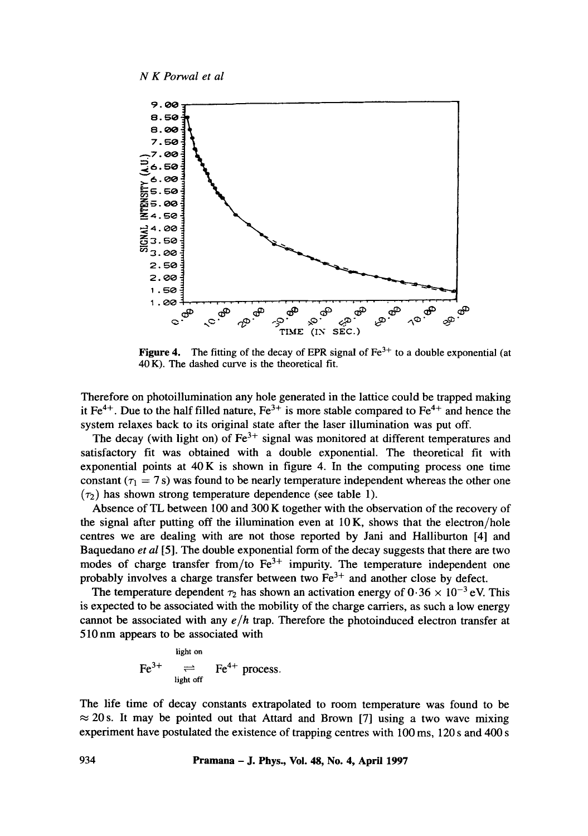

**Figure 4.** The fitting of the decay of EPR signal of  $Fe<sup>3+</sup>$  to a double exponential (at 40 K). The dashed curve is the theoretical fit.

Therefore on photoillumination any hole generated in the lattice could be trapped making it  $Fe^{4+}$ . Due to the half filled nature,  $Fe^{3+}$  is more stable compared to  $Fe^{4+}$  and hence the system relaxes back to its original state after the laser illumination was put off.

The decay (with light on) of  $Fe^{3+}$  signal was monitored at different temperatures and satisfactory fit was obtained with a double exponential. The theoretical fit with exponential points at  $40K$  is shown in figure 4. In the computing process one time constant ( $\tau_1 = 7$  s) was found to be nearly temperature independent whereas the other one  $(\tau_2)$  has shown strong temperature dependence (see table 1).

Absence of TL between 100 and 300 K together with the observation of the recovery of the signal after putting off the illumination even at  $10K$ , shows that the electron/hole centres we are dealing with are not those reported by Jani and Halliburton [4] and Baquedano *et al* [5]. The double exponential form of the decay suggests that there are two modes of charge transfer from/to  $Fe<sup>3+</sup>$  impurity. The temperature independent one probably involves a charge transfer between two  $Fe<sup>3+</sup>$  and another close by defect.

The temperature dependent  $\tau_2$  has shown an activation energy of  $0.36 \times 10^{-3}$  eV. This is expected to be associated with the mobility of the charge carriers, as such a low energy cannot be associated with any *e/h* trap. Therefore the photoinduced electron transfer at 510 nm appears to be associated with

$$
Fe^{3+} \underset{light \text{ of } }{\rightleftharpoons} Fe^{4+} \text{ process.}
$$

The life time of decay constants extrapolated to room temperature was found to be  $\approx$  20 s. It may be pointed out that Attard and Brown [7] using a two wave mixing experiment have postulated the existence of trapping centres with 100 ms, 120 s and 400 s

**934 Pramana - J. Phys., Vol. 48, No. 4, April 1997**